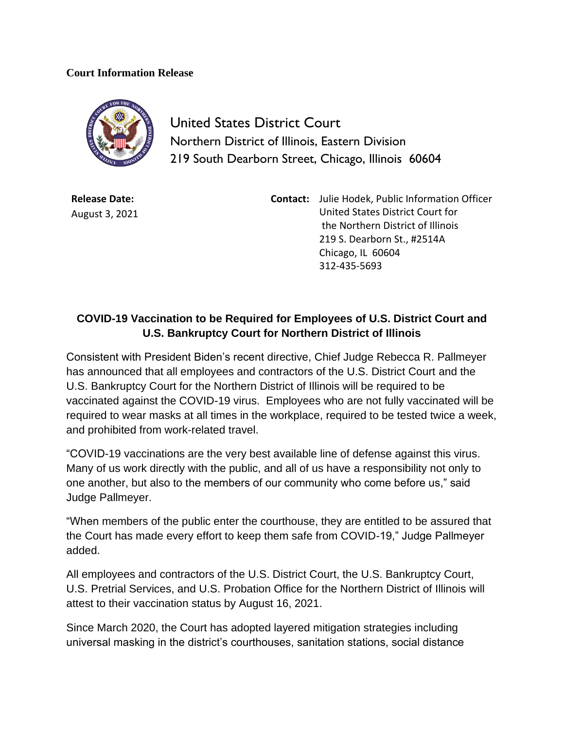## **Court Information Release**



United States District Court Northern District of Illinois, Eastern Division 219 South Dearborn Street, Chicago, Illinois 60604

**Release Date:** August 3, 2021 **Contact:** Julie Hodek, Public Information Officer United States District Court for the Northern District of Illinois 219 S. Dearborn St., #2514A Chicago, IL 60604 312-435-5693

## **COVID-19 Vaccination to be Required for Employees of U.S. District Court and U.S. Bankruptcy Court for Northern District of Illinois**

Consistent with President Biden's recent directive, Chief Judge Rebecca R. Pallmeyer has announced that all employees and contractors of the U.S. District Court and the U.S. Bankruptcy Court for the Northern District of Illinois will be required to be vaccinated against the COVID-19 virus. Employees who are not fully vaccinated will be required to wear masks at all times in the workplace, required to be tested twice a week, and prohibited from work-related travel.

"COVID-19 vaccinations are the very best available line of defense against this virus. Many of us work directly with the public, and all of us have a responsibility not only to one another, but also to the members of our community who come before us," said Judge Pallmeyer.

"When members of the public enter the courthouse, they are entitled to be assured that the Court has made every effort to keep them safe from COVID-19," Judge Pallmeyer added.

All employees and contractors of the U.S. District Court, the U.S. Bankruptcy Court, U.S. Pretrial Services, and U.S. Probation Office for the Northern District of Illinois will attest to their vaccination status by August 16, 2021.

Since March 2020, the Court has adopted layered mitigation strategies including universal masking in the district's courthouses, sanitation stations, social distance